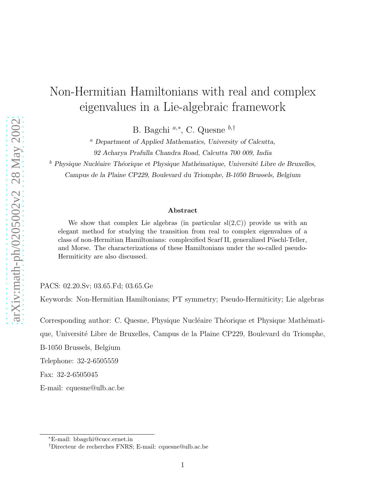# Non-Hermitian Hamiltonians with real and complex eigenvalues in a Lie-algebraic framework

B. Bagchi<sup>a,∗</sup>, C. Quesne <sup>b,†</sup>

<sup>a</sup> Department of Applied Mathematics, University of Calcutta,

92 Acharya Prafulla Chandra Road, Calcutta 700 009, India

 $b$  Physique Nucléaire Théorique et Physique Mathématique, Université Libre de Bruxelles, Campus de la Plaine CP229, Boulevard du Triomphe, B-1050 Brussels, Belgium

#### Abstract

We show that complex Lie algebras (in particular  $sl(2,\mathbb{C})$ ) provide us with an elegant method for studying the transition from real to complex eigenvalues of a class of non-Hermitian Hamiltonians: complexified Scarf II, generalized Pöschl-Teller, and Morse. The characterizations of these Hamiltonians under the so-called pseudo-Hermiticity are also discussed.

PACS: 02.20.Sv; 03.65.Fd; 03.65.Ge

Keywords: Non-Hermitian Hamiltonians; PT symmetry; Pseudo-Hermiticity; Lie algebras

Corresponding author: C. Quesne, Physique Nucléaire Théorique et Physique Mathémati-

que, Universit´e Libre de Bruxelles, Campus de la Plaine CP229, Boulevard du Triomphe,

B-1050 Brussels, Belgium

Telephone: 32-2-6505559

Fax: 32-2-6505045

E-mail: cquesne@ulb.ac.be

<sup>∗</sup>E-mail: bbagchi@cucc.ernet.in

<sup>†</sup>Directeur de recherches FNRS; E-mail: cquesne@ulb.ac.be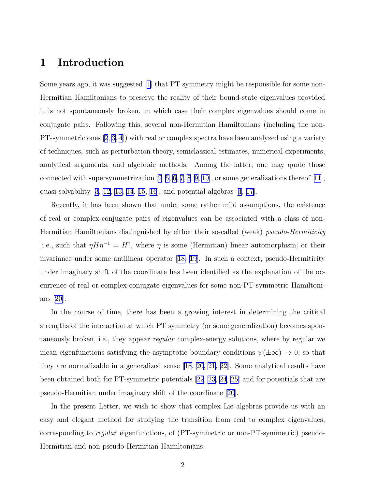### 1 Introduction

Some years ago, it was suggested [\[1](#page-12-0)] that PT symmetry might be responsible for some non-Hermitian Hamiltonians to preserve the reality of their bound-state eigenvalues provided it is not spontaneously broken, in which case their complex eigenvalues should come in conjugate pairs. Following this, several non-Hermitian Hamiltonians (including the non-PT-symmetric ones [\[2](#page-12-0), [3](#page-12-0), [4\]](#page-12-0)) with real or complex spectra have been analyzed using a variety of techniques, such as perturbation theory, semiclassical estimates, numerical experiments, analytical arguments, and algebraic methods. Among the latter, one may quote those connected with supersymmetrization [\[2](#page-12-0), [5](#page-12-0), [6, 7, 8](#page-12-0), [9](#page-12-0), [10\]](#page-12-0), or some generalizations thereof[[11](#page-12-0)], quasi-solvability [\[3, 12, 13, 14, 15](#page-12-0), [16](#page-13-0)], and potential algebras[[4,](#page-12-0) [17\]](#page-13-0).

Recently, it has been shown that under some rather mild assumptions, the existence of real or complex-conjugate pairs of eigenvalues can be associated with a class of non-Hermitian Hamiltonians distinguished by either their so-called (weak) *pseudo-Hermiticity* [i.e., such that  $\eta H \eta^{-1} = H^{\dagger}$ , where  $\eta$  is some (Hermitian) linear automorphism] or their invariance under some antilinear operator[[18, 19\]](#page-13-0). In such a context, pseudo-Hermiticity under imaginary shift of the coordinate has been identified as the explanation of the occurrence of real or complex-conjugate eigenvalues for some non-PT-symmetric Hamiltonians [\[20\]](#page-13-0).

In the course of time, there has been a growing interest in determining the critical strengths of the interaction at which PT symmetry (or some generalization) becomes spontaneously broken, i.e., they appear regular complex-energy solutions, where by regular we mean eigenfunctions satisfying the asymptotic boundary conditions  $\psi(\pm\infty) \to 0$ , so that they are normalizable in a generalized sense [\[18, 20, 21](#page-13-0), [22](#page-13-0)]. Some analytical results have been obtained both for PT-symmetric potentials[[22](#page-13-0), [23, 24](#page-13-0), [25\]](#page-13-0) and for potentials that are pseudo-Hermitian under imaginary shift of the coordinate [\[20](#page-13-0)].

In the present Letter, we wish to show that complex Lie algebras provide us with an easy and elegant method for studying the transition from real to complex eigenvalues, corresponding to *regular* eigenfunctions, of (PT-symmetric or non-PT-symmetric) pseudo-Hermitian and non-pseudo-Hermitian Hamiltonians.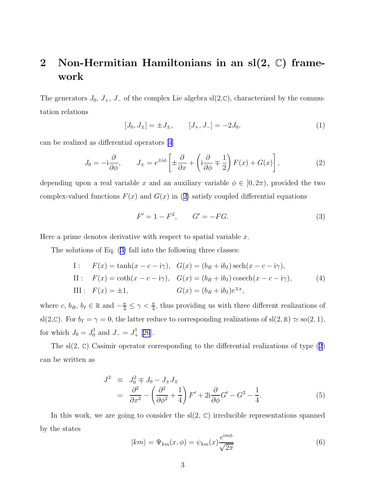## <span id="page-2-0"></span>2 Non-Hermitian Hamiltonians in an  $sl(2, \mathbb{C})$  framework

The generators  $J_0$ ,  $J_+$ ,  $J_-$  of the complex Lie algebra sl(2, $\mathbb{C}$ ), characterized by the commutation relations

$$
[J_0, J_{\pm}] = \pm J_{\pm}, \qquad [J_+, J_-] = -2J_0,\tag{1}
$$

can be realized as differential operators [\[4\]](#page-12-0)

$$
J_0 = -\mathrm{i}\frac{\partial}{\partial \phi}, \qquad J_{\pm} = e^{\pm \mathrm{i}\phi} \left[ \pm \frac{\partial}{\partial x} + \left( \mathrm{i}\frac{\partial}{\partial \phi} \mp \frac{1}{2} \right) F(x) + G(x) \right],\tag{2}
$$

depending upon a real variable x and an auxiliary variable  $\phi \in [0, 2\pi)$ , provided the two complex-valued functions  $F(x)$  and  $G(x)$  in (2) satisfy coupled differential equations

$$
F' = 1 - F^2, \qquad G' = -FG. \tag{3}
$$

Here a prime denotes derivative with respect to spatial variable  $x$ .

The solutions of Eq. (3) fall into the following three classes:

I: 
$$
F(x) = \tanh(x - c - i\gamma)
$$
,  $G(x) = (b_R + ib_I)\operatorname{sech}(x - c - i\gamma)$ ,  
\nII:  $F(x) = \coth(x - c - i\gamma)$ ,  $G(x) = (b_R + ib_I)\operatorname{cosech}(x - c - i\gamma)$ ,  
\nIII:  $F(x) = \pm 1$ ,  $G(x) = (b_R + ib_I)e^{\mp x}$ , (4)

where c,  $b_R$ ,  $b_I \in \mathbb{R}$  and  $-\frac{\pi}{4} \leq \gamma < \frac{\pi}{4}$ , thus providing us with three different realizations of sl(2, C). For  $b_I = \gamma = 0$ , the latter reduce to corresponding realizations of sl(2, R)  $\simeq$  so(2, 1), for which  $J_0 = J_0^{\dagger}$  and  $J_- = J_+^{\dagger}$  [[26](#page-13-0)].

The sl(2,  $\mathbb{C}$ ) Casimir operator corresponding to the differential realizations of type (2) can be written as

$$
J^{2} \equiv J_{0}^{2} \mp J_{0} - J_{\pm}J_{\mp} = \frac{\partial^{2}}{\partial x^{2}} - \left(\frac{\partial^{2}}{\partial \phi^{2}} + \frac{1}{4}\right)F' + 2i\frac{\partial}{\partial \phi}G' - G^{2} - \frac{1}{4}.
$$
(5)

In this work, we are going to consider the  $sl(2, \mathbb{C})$  irreducible representations spanned by the states

$$
|km\rangle = \Psi_{km}(x,\phi) = \psi_{km}(x)\frac{e^{im\phi}}{\sqrt{2\pi}}
$$
\n(6)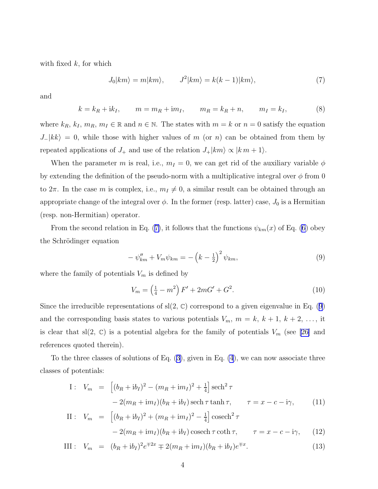<span id="page-3-0"></span>with fixed  $k$ , for which

$$
J_0|km\rangle = m|km\rangle, \qquad J^2|km\rangle = k(k-1)|km\rangle, \tag{7}
$$

and

$$
k = k_R + ik_I
$$
,  $m = m_R + im_I$ ,  $m_R = k_R + n$ ,  $m_I = k_I$ , (8)

where  $k_R$ ,  $k_I$ ,  $m_R$ ,  $m_I \in \mathbb{R}$  and  $n \in \mathbb{N}$ . The states with  $m = k$  or  $n = 0$  satisfy the equation  $J_{-}|kk\rangle = 0$ , while those with higher values of m (or n) can be obtained from them by repeated applications of  $J_+$  and use of the relation  $J_+|km\rangle \propto |k m + 1\rangle$ .

When the parameter m is real, i.e.,  $m_I = 0$ , we can get rid of the auxiliary variable  $\phi$ by extending the definition of the pseudo-norm with a multiplicative integral over  $\phi$  from 0 to  $2\pi$ . In the case m is complex, i.e.,  $m_I \neq 0$ , a similar result can be obtained through an appropriate change of the integral over  $\phi$ . In the former (resp. latter) case,  $J_0$  is a Hermitian (resp. non-Hermitian) operator.

From the second relation in Eq. (7), it follows that the functions  $\psi_{km}(x)$  of Eq. [\(6](#page-2-0)) obey the Schrödinger equation

$$
-\psi''_{km} + V_m \psi_{km} = -\left(k - \frac{1}{2}\right)^2 \psi_{km},\tag{9}
$$

where the family of potentials  $V_m$  is defined by

$$
V_m = \left(\frac{1}{4} - m^2\right)F' + 2mG' + G^2.
$$
\n(10)

Since the irreducible representations of  $sl(2, \mathbb{C})$  correspond to a given eigenvalue in Eq. (9) and the corresponding basis states to various potentials  $V_m$ ,  $m = k, k + 1, k + 2, \ldots$ , it is clear that sl(2,  $\mathbb{C}$ ) is a potential algebra for the family of potentials  $V_m$  (see [\[26\]](#page-13-0) and references quoted therein).

To the three classes of solutions of Eq. [\(3\)](#page-2-0), given in Eq. [\(4](#page-2-0)), we can now associate three classes of potentials:

I: 
$$
V_m = \left[ (b_R + ib_I)^2 - (m_R + im_I)^2 + \frac{1}{4} \right] \operatorname{sech}^2 \tau
$$
  
- 2 $(m_R + im_I)(b_R + ib_I) \operatorname{sech} \tau \tanh \tau$ ,  $\tau = x - c - i\gamma$ , (11)

II: 
$$
V_m = \left[ (b_R + ib_I)^2 + (m_R + im_I)^2 - \frac{1}{4} \right] \operatorname{cosech}^2 \tau
$$
  
- 2 $(m_R + im_I)(b_R + ib_I) \operatorname{cosech} \tau \coth \tau$ ,  $\tau = x - c - i\gamma$ , (12)

III: 
$$
V_m = (b_R + ib_I)^2 e^{\mp 2x} \mp 2(m_R + im_I)(b_R + ib_I)e^{\mp x}
$$
. (13)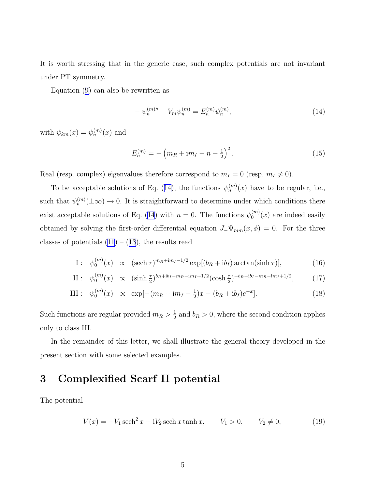<span id="page-4-0"></span>It is worth stressing that in the generic case, such complex potentials are not invariant under PT symmetry.

Equation([9\)](#page-3-0) can also be rewritten as

$$
-\psi_n^{(m)\prime\prime} + V_m \psi_n^{(m)} = E_n^{(m)} \psi_n^{(m)},\tag{14}
$$

with  $\psi_{km}(x) = \psi_n^{(m)}(x)$  and

$$
E_n^{(m)} = -\left(m_R + \mathrm{i}m_I - n - \frac{1}{2}\right)^2. \tag{15}
$$

Real (resp. complex) eigenvalues therefore correspond to  $m_I = 0$  (resp.  $m_I \neq 0$ ).

To be acceptable solutions of Eq. (14), the functions  $\psi_n^{(m)}(x)$  have to be regular, i.e., such that  $\psi_n^{(m)}(\pm \infty) \to 0$ . It is straightforward to determine under which conditions there exist acceptable solutions of Eq. (14) with  $n = 0$ . The functions  $\psi_0^{(m)}$  $\binom{m}{0}(x)$  are indeed easily obtained by solving the first-order differential equation  $J_-\Psi_{mm}(x,\phi) = 0$ . For the three classesof potentials  $(11) - (13)$  $(11) - (13)$  $(11) - (13)$ , the results read

I: 
$$
\psi_0^{(m)}(x) \propto (\operatorname{sech} \tau)^{m_R + im_I - 1/2} \exp[(b_R + ib_I) \operatorname{arctan}(\sinh \tau)],
$$
 (16)

II: 
$$
\psi_0^{(m)}(x) \propto (\sinh \frac{\tau}{2})^{b_R + ib_I - m_R - im_I + 1/2} (\cosh \frac{\tau}{2})^{-b_R - ib_I - m_R - im_I + 1/2},
$$
 (17)

III: 
$$
\psi_0^{(m)}(x) \propto \exp[-(m_R + im_I - \frac{1}{2})x - (b_R + ib_I)e^{-x}].
$$
 (18)

Such functions are regular provided  $m_R > \frac{1}{2}$  $\frac{1}{2}$  and  $b_R > 0$ , where the second condition applies only to class III.

In the remainder of this letter, we shall illustrate the general theory developed in the present section with some selected examples.

#### 3 Complexified Scarf II potential

The potential

$$
V(x) = -V_1 \operatorname{sech}^2 x - iV_2 \operatorname{sech} x \tanh x, \qquad V_1 > 0, \qquad V_2 \neq 0,
$$
 (19)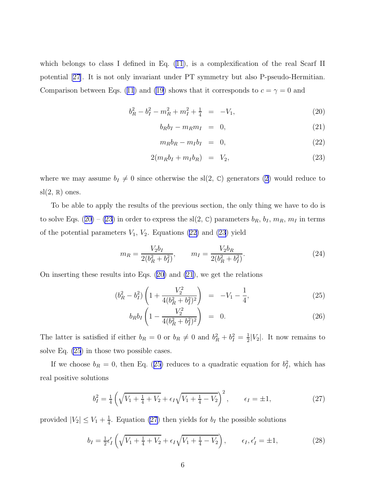<span id="page-5-0"></span>which belongs to class I defined in Eq.  $(11)$ , is a complexification of the real Scarf II potential [\[27\]](#page-13-0). It is not only invariant under PT symmetry but also P-pseudo-Hermitian. Comparisonbetween Eqs. ([11](#page-3-0)) and [\(19\)](#page-4-0) shows that it corresponds to  $c = \gamma = 0$  and

$$
b_R^2 - b_I^2 - m_R^2 + m_I^2 + \frac{1}{4} = -V_1, \tag{20}
$$

$$
b_R b_I - m_R m_I = 0, \t\t(21)
$$

$$
m_R b_R - m_I b_I = 0, \t\t(22)
$$

$$
2(m_R b_I + m_I b_R) = V_2, \tag{23}
$$

where we may assume  $b_I \neq 0$  since otherwise the sl(2, C) generators [\(2](#page-2-0)) would reduce to  $sl(2, \mathbb{R})$  ones.

To be able to apply the results of the previous section, the only thing we have to do is to solve Eqs. (20) – (23) in order to express the sl(2,  $\mathbb{C}$ ) parameters  $b_R$ ,  $b_I$ ,  $m_R$ ,  $m_I$  in terms of the potential parameters  $V_1$ ,  $V_2$ . Equations (22) and (23) yield

$$
m_R = \frac{V_2 b_I}{2(b_R^2 + b_I^2)}, \qquad m_I = \frac{V_2 b_R}{2(b_R^2 + b_I^2)}.
$$
\n(24)

On inserting these results into Eqs. (20) and (21), we get the relations

$$
(b_R^2 - b_I^2) \left( 1 + \frac{V_2^2}{4(b_R^2 + b_I^2)^2} \right) = -V_1 - \frac{1}{4}, \tag{25}
$$

$$
b_R b_I \left( 1 - \frac{V_2^2}{4(b_R^2 + b_I^2)^2} \right) = 0. \tag{26}
$$

The latter is satisfied if either  $b_R = 0$  or  $b_R \neq 0$  and  $b_R^2 + b_I^2 = \frac{1}{2}$  $\frac{1}{2}|V_2|$ . It now remains to solve Eq. (25) in those two possible cases.

If we choose  $b_R = 0$ , then Eq. (25) reduces to a quadratic equation for  $b_I^2$ , which has real positive solutions

$$
b_I^2 = \frac{1}{4} \left( \sqrt{V_1 + \frac{1}{4} + V_2} + \epsilon_I \sqrt{V_1 + \frac{1}{4} - V_2} \right)^2, \qquad \epsilon_I = \pm 1,
$$
 (27)

provided  $|V_2| \leq V_1 + \frac{1}{4}$  $\frac{1}{4}$ . Equation (27) then yields for  $b_I$  the possible solutions

$$
b_I = \frac{1}{2} \epsilon_I' \left( \sqrt{V_1 + \frac{1}{4} + V_2} + \epsilon_I \sqrt{V_1 + \frac{1}{4} - V_2} \right), \qquad \epsilon_I, \epsilon_I' = \pm 1,
$$
 (28)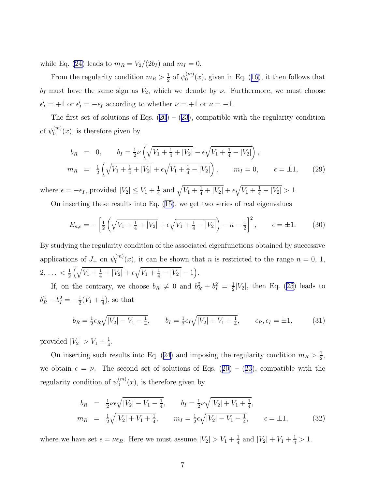<span id="page-6-0"></span>while Eq. [\(24](#page-5-0)) leads to  $m_R = V_2/(2b_I)$  and  $m_I = 0$ .

From the regularity condition  $m_R > \frac{1}{2}$  $\frac{1}{2}$  of  $\psi_0^{(m)}$  $\binom{m}{0}(x)$ ,given in Eq. ([16](#page-4-0)), it then follows that  $b_I$  must have the same sign as  $V_2$ , which we denote by  $\nu$ . Furthermore, we must choose  $\epsilon'_I = +1$  or  $\epsilon'_I = -\epsilon_I$  according to whether  $\nu = +1$  or  $\nu = -1$ .

Thefirst set of solutions of Eqs.  $(20) - (23)$  $(20) - (23)$  $(20) - (23)$ , compatible with the regularity condition of  $\psi^{(m)}_0$  $\binom{m}{0}(x)$ , is therefore given by

$$
b_R = 0, \t b_I = \frac{1}{2}\nu \left( \sqrt{V_1 + \frac{1}{4} + |V_2|} - \epsilon \sqrt{V_1 + \frac{1}{4} - |V_2|} \right),
$$
  
\n
$$
m_R = \frac{1}{2} \left( \sqrt{V_1 + \frac{1}{4} + |V_2|} + \epsilon \sqrt{V_1 + \frac{1}{4} - |V_2|} \right), \t m_I = 0, \t \epsilon = \pm 1,
$$
\n(29)

where  $\epsilon = -\epsilon_I$ , provided  $|V_2| \le V_1 + \frac{1}{4}$  $\frac{1}{4}$  and  $\sqrt{V_1 + \frac{1}{4} + |V_2|} + \epsilon \sqrt{V_1 + \frac{1}{4} - |V_2|} > 1.$ 

On inserting these results into Eq.([15\)](#page-4-0), we get two series of real eigenvalues

$$
E_{n,\epsilon} = -\left[\frac{1}{2}\left(\sqrt{V_1 + \frac{1}{4} + |V_2|} + \epsilon\sqrt{V_1 + \frac{1}{4} - |V_2|}\right) - n - \frac{1}{2}\right]^2, \qquad \epsilon = \pm 1. \tag{30}
$$

By studying the regularity condition of the associated eigenfunctions obtained by successive applications of  $J_+$  on  $\psi_0^{(m)}$  $\binom{m}{0}(x)$ , it can be shown that *n* is restricted to the range  $n = 0, 1$ ,  $2, \ldots < \frac{1}{2}$  $\frac{1}{2}(\sqrt{V_1+\frac{1}{4}+|V_2|}+\epsilon\sqrt{V_1+\frac{1}{4}-|V_2|}-1).$ 

If, on the contrary, we choose  $b_R \neq 0$  and  $b_R^2 + b_I^2 = \frac{1}{2}$  $\frac{1}{2}|V_2|$ , then Eq. [\(25\)](#page-5-0) leads to  $b_R^2 - b_I^2 = -\frac{1}{2}$  $\frac{1}{2}(V_1 + \frac{1}{4})$  $\frac{1}{4}$ , so that

$$
b_R = \frac{1}{2}\epsilon_R \sqrt{|V_2| - V_1 - \frac{1}{4}}, \qquad b_I = \frac{1}{2}\epsilon_I \sqrt{|V_2| + V_1 + \frac{1}{4}}, \qquad \epsilon_R, \epsilon_I = \pm 1,
$$
 (31)

provided  $|V_2| > V_1 + \frac{1}{4}$  $\frac{1}{4}$ .

Oninserting such results into Eq. ([24](#page-5-0)) and imposing the regularity condition  $m_R > \frac{1}{2}$  $\frac{1}{2}$ , weobtain  $\epsilon = \nu$ . The second set of solutions of Eqs. ([20](#page-5-0)) – ([23](#page-5-0)), compatible with the regularity condition of  $\psi_0^{(m)}$  $\binom{m}{0}(x)$ , is therefore given by

$$
b_R = \frac{1}{2}\nu\epsilon\sqrt{|V_2| - V_1 - \frac{1}{4}}, \qquad b_I = \frac{1}{2}\nu\sqrt{|V_2| + V_1 + \frac{1}{4}},
$$
  

$$
m_R = \frac{1}{2}\sqrt{|V_2| + V_1 + \frac{1}{4}}, \qquad m_I = \frac{1}{2}\epsilon\sqrt{|V_2| - V_1 - \frac{1}{4}}, \qquad \epsilon = \pm 1,
$$
 (32)

where we have set  $\epsilon = \nu \epsilon_R$ . Here we must assume  $|V_2| > V_1 + \frac{1}{4}$  $\frac{1}{4}$  and  $|V_2| + V_1 + \frac{1}{4} > 1$ .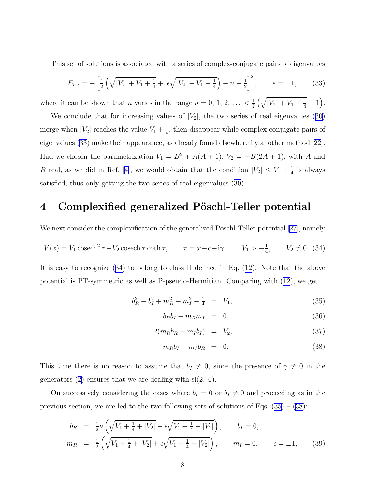<span id="page-7-0"></span>This set of solutions is associated with a series of complex-conjugate pairs of eigenvalues

$$
E_{n,\epsilon} = -\left[\frac{1}{2}\left(\sqrt{|V_2| + V_1 + \frac{1}{4}} + i\epsilon\sqrt{|V_2| - V_1 - \frac{1}{4}}\right) - n - \frac{1}{2}\right]^2, \qquad \epsilon = \pm 1, \tag{33}
$$

where it can be shown that *n* varies in the range  $n = 0, 1, 2, \ldots < \frac{1}{2}$  $\frac{1}{2}(\sqrt{|V_2|+V_1+\frac{1}{4}}-1).$ 

Weconclude that for increasing values of  $|V_2|$ , the two series of real eigenvalues ([30](#page-6-0)) merge when  $|V_2|$  reaches the value  $V_1 + \frac{1}{4}$  $\frac{1}{4}$ , then disappear while complex-conjugate pairs of eigenvalues (33) make their appearance, as already found elsewhere by another method[[22](#page-13-0)]. Had we chosen the parametrization  $V_1 = B^2 + A(A+1)$ ,  $V_2 = -B(2A+1)$ , with A and Breal, as we did in Ref. [[4\]](#page-12-0), we would obtain that the condition  $|V_2| \leq V_1 + \frac{1}{4}$  $\frac{1}{4}$  is always satisfied, thus only getting the two series of real eigenvalues [\(30\)](#page-6-0).

#### 4 Complexified generalized Pöschl-Teller potential

Wenext consider the complexification of the generalized Pöschl-Teller potential [[27\]](#page-13-0), namely

$$
V(x) = V_1 \cosech^2 \tau - V_2 \cosech \tau \coth \tau, \qquad \tau = x - c - i\gamma, \qquad V_1 > -\frac{1}{4}, \qquad V_2 \neq 0. \tag{34}
$$

It is easy to recognize (34) to belong to class II defined in Eq.([12](#page-3-0)). Note that the above potential is PT-symmetric as well as P-pseudo-Hermitian. Comparing with([12](#page-3-0)), we get

$$
b_R^2 - b_I^2 + m_R^2 - m_I^2 - \frac{1}{4} = V_1,\tag{35}
$$

$$
b_R b_I + m_R m_I = 0, \t\t(36)
$$

$$
2(m_R b_R - m_I b_I) = V_2, \qquad (37)
$$

$$
m_R b_I + m_I b_R = 0. \t\t(38)
$$

This time there is no reason to assume that  $b_I \neq 0$ , since the presence of  $\gamma \neq 0$  in the generators [\(2](#page-2-0)) ensures that we are dealing with  $sl(2, \mathbb{C})$ .

On successively considering the cases where  $b_I = 0$  or  $b_I \neq 0$  and proceeding as in the previous section, we are led to the two following sets of solutions of Eqs.  $(35) - (38)$ :

$$
b_R = \frac{1}{2}\nu \left( \sqrt{V_1 + \frac{1}{4} + |V_2|} - \epsilon \sqrt{V_1 + \frac{1}{4} - |V_2|} \right), \qquad b_I = 0,
$$
  
\n
$$
m_R = \frac{1}{2} \left( \sqrt{V_1 + \frac{1}{4} + |V_2|} + \epsilon \sqrt{V_1 + \frac{1}{4} - |V_2|} \right), \qquad m_I = 0, \qquad \epsilon = \pm 1,
$$
\n(39)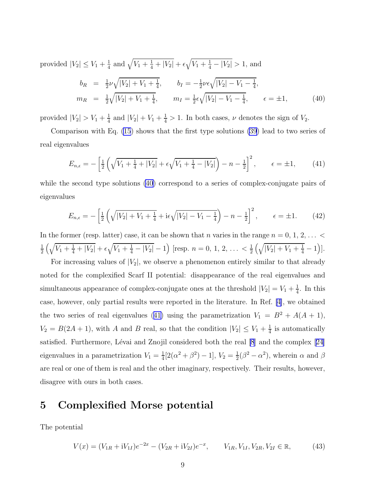<span id="page-8-0"></span>provided  $|V_2| \leq V_1 + \frac{1}{4}$  $\frac{1}{4}$  and  $\sqrt{V_1 + \frac{1}{4} + |V_2|} + \epsilon \sqrt{V_1 + \frac{1}{4} - |V_2|} > 1$ , and  $b_R$  =  $\frac{1}{2}$  $\frac{1}{2}\nu\sqrt{|V_2|+V_1+\frac{1}{4}}$  $\frac{1}{4}$ ,  $b_I = -\frac{1}{2}$  $\frac{1}{2}\nu\epsilon\sqrt{|V_2| - V_1 - \frac{1}{4}}$  $\frac{1}{4}$ ,  $m_R$  =  $\frac{1}{2}$ 2  $\sqrt{|V_2| + V_1 + \frac{1}{4}}$  $\frac{1}{4}$ ,  $m_I = \frac{1}{2}$  $\frac{1}{2}\epsilon\sqrt{|V_2|-V_1-\frac{1}{4}}$  $\frac{1}{4}$ ,  $\epsilon = \pm 1$ , (40)

provided  $|V_2| > V_1 + \frac{1}{4}$  $\frac{1}{4}$  and  $|V_2| + V_1 + \frac{1}{4} > 1$ . In both cases,  $\nu$  denotes the sign of  $V_2$ .

Comparison with Eq. [\(15](#page-4-0)) shows that the first type solutions [\(39](#page-7-0)) lead to two series of real eigenvalues

$$
E_{n,\epsilon} = -\left[\frac{1}{2}\left(\sqrt{V_1 + \frac{1}{4} + |V_2|} + \epsilon\sqrt{V_1 + \frac{1}{4} - |V_2|}\right) - n - \frac{1}{2}\right]^2, \qquad \epsilon = \pm 1,\tag{41}
$$

while the second type solutions (40) correspond to a series of complex-conjugate pairs of eigenvalues

$$
E_{n,\epsilon} = -\left[\frac{1}{2}\left(\sqrt{|V_2| + V_1 + \frac{1}{4}} + i\epsilon\sqrt{|V_2| - V_1 - \frac{1}{4}}\right) - n - \frac{1}{2}\right]^2, \qquad \epsilon = \pm 1. \tag{42}
$$

In the former (resp. latter) case, it can be shown that n varies in the range  $n = 0, 1, 2, \ldots$ 1  $\frac{1}{2}(\sqrt{V_1+\frac{1}{4}+|V_2|}+\epsilon\sqrt{V_1+\frac{1}{4}-|V_2|}-1)$  [resp.  $n=0, 1, 2, ... < \frac{1}{2}$  $\frac{1}{2}(\sqrt{|V_2|+V_1+\frac{1}{4}}-1)].$ 

For increasing values of  $|V_2|$ , we observe a phenomenon entirely similar to that already noted for the complexified Scarf II potential: disappearance of the real eigenvalues and simultaneous appearance of complex-conjugate ones at the threshold  $|V_2| = V_1 + \frac{1}{4}$  $\frac{1}{4}$ . In this case, however, only partial results were reported in the literature. In Ref. [\[4\]](#page-12-0), we obtained the two series of real eigenvalues (41) using the parametrization  $V_1 = B^2 + A(A + 1)$ ,  $V_2 = B(2A + 1)$ , with A and B real, so that the condition  $|V_2| \le V_1 + \frac{1}{4}$  $\frac{1}{4}$  is automatically satisfied. Furthermore, Lévai and Znojil considered both the real [\[8](#page-12-0)] and the complex [\[24\]](#page-13-0) eigenvalues in a parametrization  $V_1 = \frac{1}{4}$  $\frac{1}{4}[2(\alpha^2+\beta^2)-1], V_2=\frac{1}{2}$  $\frac{1}{2}(\beta^2 - \alpha^2)$ , wherein  $\alpha$  and  $\beta$ are real or one of them is real and the other imaginary, respectively. Their results, however, disagree with ours in both cases.

#### 5 Complexified Morse potential

The potential

$$
V(x) = (V_{1R} + iV_{1I})e^{-2x} - (V_{2R} + iV_{2I})e^{-x}, \qquad V_{1R}, V_{1I}, V_{2R}, V_{2I} \in \mathbb{R},
$$
 (43)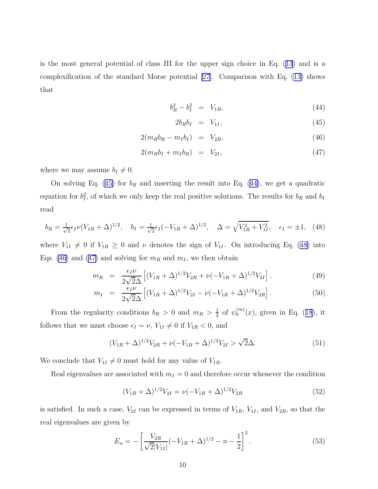<span id="page-9-0"></span>is the most general potential of class III for the upper sign choice in Eq.([13](#page-3-0)) and is a complexification of the standard Morse potential [\[27\]](#page-13-0). Comparison with Eq.([13\)](#page-3-0) shows that

$$
b_R^2 - b_I^2 = V_{1R}, \t\t(44)
$$

$$
2b_R b_I = V_{1I}, \t\t(45)
$$

$$
2(m_R b_R - m_I b_I) = V_{2R}, \qquad (46)
$$

$$
2(m_R b_I + m_I b_R) = V_{2I}, \t\t(47)
$$

where we may assume  $b_I \neq 0$ .

On solving Eq. (45) for  $b_R$  and inserting the result into Eq. (44), we get a quadratic equation for  $b_I^2$ , of which we only keep the real positive solutions. The results for  $b_R$  and  $b_I$ read

$$
b_R = \frac{1}{\sqrt{2}} \epsilon_I \nu (V_{1R} + \Delta)^{1/2}, \quad b_I = \frac{1}{\sqrt{2}} \epsilon_I (-V_{1R} + \Delta)^{1/2}, \quad \Delta = \sqrt{V_{1R}^2 + V_{1I}^2}, \quad \epsilon_I = \pm 1, \tag{48}
$$

where  $V_{1I} \neq 0$  if  $V_{1R} \geq 0$  and  $\nu$  denotes the sign of  $V_{1I}$ . On introducing Eq. (48) into Eqs. (46) and (47) and solving for  $m_R$  and  $m_I$ , we then obtain

$$
m_R = \frac{\epsilon_I \nu}{2\sqrt{2}\Delta} \left[ (V_{1R} + \Delta)^{1/2} V_{2R} + \nu (-V_{1R} + \Delta)^{1/2} V_{2I} \right],
$$
\n(49)

$$
m_I = \frac{\epsilon_I \nu}{2\sqrt{2}\Delta} \left[ (V_{1R} + \Delta)^{1/2} V_{2I} - \nu (-V_{1R} + \Delta)^{1/2} V_{2R} \right]. \tag{50}
$$

From the regularity conditions  $b_R > 0$  and  $m_R > \frac{1}{2}$  $rac{1}{2}$  of  $\psi_0^{(m)}$  $_{0}^{(m)}(x)$ ,given in Eq. ([18](#page-4-0)), it follows that we must choose  $\epsilon_I = \nu$ ,  $V_{1I} \neq 0$  if  $V_{1R} < 0$ , and

$$
(V_{1R} + \Delta)^{1/2}V_{2R} + \nu(-V_{1R} + \Delta)^{1/2}V_{2I} > \sqrt{2}\Delta.
$$
 (51)

We conclude that  $V_{1I} \neq 0$  must hold for any value of  $V_{1R}$ .

Real eigenvalues are associated with  $m_I = 0$  and therefore occur whenever the condition

$$
(V_{1R} + \Delta)^{1/2} V_{2I} = \nu (-V_{1R} + \Delta)^{1/2} V_{2R}
$$
\n(52)

is satisfied. In such a case,  $V_{2I}$  can be expressed in terms of  $V_{1R}$ ,  $V_{1I}$ , and  $V_{2R}$ , so that the real eigenvalues are given by

$$
E_n = -\left[\frac{V_{2R}}{\sqrt{2}|V_{1I}|}(-V_{1R} + \Delta)^{1/2} - n - \frac{1}{2}\right]^2.
$$
\n(53)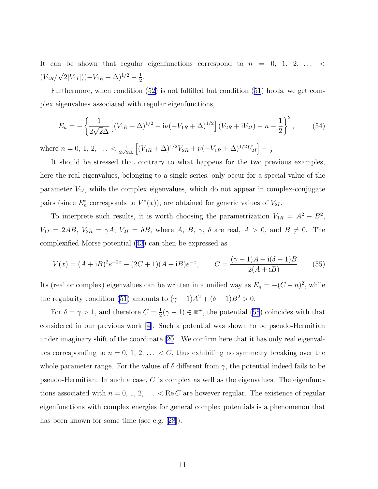It can be shown that regular eigenfunctions correspond to  $n = 0, 1, 2, \ldots$  $(V_{2R}/\sqrt{2}|V_{1I}|)(-V_{1R}+\Delta)^{1/2}-\frac{1}{2})$  $rac{1}{2}$ .

Furthermore, when condition([52\)](#page-9-0) is not fulfilled but condition([51](#page-9-0)) holds, we get complex eigenvalues associated with regular eigenfunctions,

$$
E_n = -\left\{\frac{1}{2\sqrt{2}\Delta}\left[(V_{1R} + \Delta)^{1/2} - i\nu(-V_{1R} + \Delta)^{1/2}\right](V_{2R} + iV_{2I}) - n - \frac{1}{2}\right\}^2,\tag{54}
$$

where  $n = 0, 1, 2, \ldots < \frac{1}{2\sqrt{2}}$  $\frac{1}{2\sqrt{2}\Delta}\left[ (V_{1R} + \Delta)^{1/2}V_{2R} + \nu(-V_{1R} + \Delta)^{1/2}V_{2I} \right] - \frac{1}{2}$  $\frac{1}{2}$ .

It should be stressed that contrary to what happens for the two previous examples, here the real eigenvalues, belonging to a single series, only occur for a special value of the parameter  $V_{2I}$ , while the complex eigenvalues, which do not appear in complex-conjugate pairs (since  $E_n^*$  corresponds to  $V^*(x)$ ), are obtained for generic values of  $V_{2I}$ .

To interprete such results, it is worth choosing the parametrization  $V_{1R} = A^2 - B^2$ ,  $V_{1I} = 2AB$ ,  $V_{2R} = \gamma A$ ,  $V_{2I} = \delta B$ , where A, B,  $\gamma$ ,  $\delta$  are real,  $A > 0$ , and  $B \neq 0$ . The complexified Morse potential [\(43\)](#page-8-0) can then be expressed as

$$
V(x) = (A + iB)^{2}e^{-2x} - (2C + 1)(A + iB)e^{-x}, \qquad C = \frac{(\gamma - 1)A + i(\delta - 1)B}{2(A + iB)}.
$$
 (55)

Its (real or complex) eigenvalues can be written in a unified way as  $E_n = -(C - n)^2$ , while the regularity condition [\(51](#page-9-0)) amounts to  $(\gamma - 1)A^2 + (\delta - 1)B^2 > 0$ .

For  $\delta = \gamma > 1$ , and therefore  $C = \frac{1}{2}$  $\frac{1}{2}(\gamma - 1) \in \mathbb{R}^+$ , the potential (55) coincides with that considered in our previous work[[4\]](#page-12-0). Such a potential was shown to be pseudo-Hermitian under imaginary shift of the coordinate [\[20\]](#page-13-0). We confirm here that it has only real eigenvalues corresponding to  $n = 0, 1, 2, \ldots < C$ , thus exhibiting no symmetry breaking over the whole parameter range. For the values of  $\delta$  different from  $\gamma$ , the potential indeed fails to be pseudo-Hermitian. In such a case,  $C$  is complex as well as the eigenvalues. The eigenfunctions associated with  $n = 0, 1, 2, \ldots < \text{Re } C$  are however regular. The existence of regular eigenfunctions with complex energies for general complex potentials is a phenomenon that has been known for some time (see e.g.[[28](#page-13-0)]).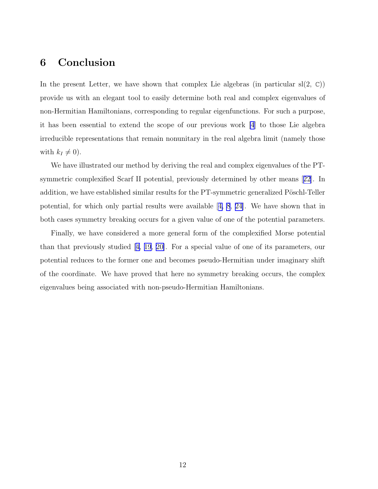#### 6 Conclusion

In the present Letter, we have shown that complex Lie algebras (in particular  $sl(2, \mathbb{C})$ ) provide us with an elegant tool to easily determine both real and complex eigenvalues of non-Hermitian Hamiltonians, corresponding to regular eigenfunctions. For such a purpose, it has been essential to extend the scope of our previous work [\[4](#page-12-0)] to those Lie algebra irreducible representations that remain nonunitary in the real algebra limit (namely those with  $k_I \neq 0$ ).

We have illustrated our method by deriving the real and complex eigenvalues of the PTsymmetric complexified Scarf II potential, previously determined by other means[[22](#page-13-0)]. In addition, we have established similar results for the PT-symmetric generalized Pöschl-Teller potential, for which only partial results were available[[4, 8](#page-12-0), [24\]](#page-13-0). We have shown that in both cases symmetry breaking occurs for a given value of one of the potential parameters.

Finally, we have considered a more general form of the complexified Morse potential than that previously studied[[4,](#page-12-0) [19](#page-13-0), [20\]](#page-13-0). For a special value of one of its parameters, our potential reduces to the former one and becomes pseudo-Hermitian under imaginary shift of the coordinate. We have proved that here no symmetry breaking occurs, the complex eigenvalues being associated with non-pseudo-Hermitian Hamiltonians.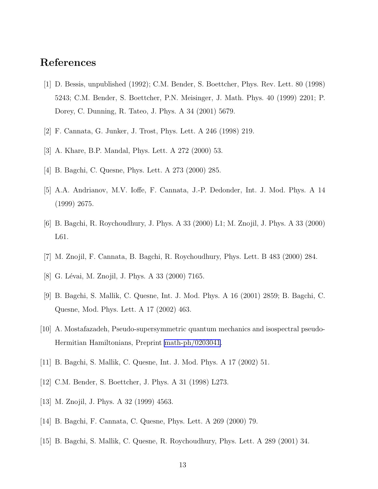### <span id="page-12-0"></span>References

- [1] D. Bessis, unpublished (1992); C.M. Bender, S. Boettcher, Phys. Rev. Lett. 80 (1998) 5243; C.M. Bender, S. Boettcher, P.N. Meisinger, J. Math. Phys. 40 (1999) 2201; P. Dorey, C. Dunning, R. Tateo, J. Phys. A 34 (2001) 5679.
- [2] F. Cannata, G. Junker, J. Trost, Phys. Lett. A 246 (1998) 219.
- [3] A. Khare, B.P. Mandal, Phys. Lett. A 272 (2000) 53.
- [4] B. Bagchi, C. Quesne, Phys. Lett. A 273 (2000) 285.
- [5] A.A. Andrianov, M.V. Ioffe, F. Cannata, J.-P. Dedonder, Int. J. Mod. Phys. A 14 (1999) 2675.
- [6] B. Bagchi, R. Roychoudhury, J. Phys. A 33 (2000) L1; M. Znojil, J. Phys. A 33 (2000) L61.
- [7] M. Znojil, F. Cannata, B. Bagchi, R. Roychoudhury, Phys. Lett. B 483 (2000) 284.
- [8] G. Lévai, M. Znojil, J. Phys. A 33 (2000) 7165.
- [9] B. Bagchi, S. Mallik, C. Quesne, Int. J. Mod. Phys. A 16 (2001) 2859; B. Bagchi, C. Quesne, Mod. Phys. Lett. A 17 (2002) 463.
- [10] A. Mostafazadeh, Pseudo-supersymmetric quantum mechanics and isospectral pseudo-Hermitian Hamiltonians, Preprint [math-ph/0203041.](http://arxiv.org/abs/math-ph/0203041)
- [11] B. Bagchi, S. Mallik, C. Quesne, Int. J. Mod. Phys. A 17 (2002) 51.
- [12] C.M. Bender, S. Boettcher, J. Phys. A 31 (1998) L273.
- [13] M. Znojil, J. Phys. A 32 (1999) 4563.
- [14] B. Bagchi, F. Cannata, C. Quesne, Phys. Lett. A 269 (2000) 79.
- [15] B. Bagchi, S. Mallik, C. Quesne, R. Roychoudhury, Phys. Lett. A 289 (2001) 34.